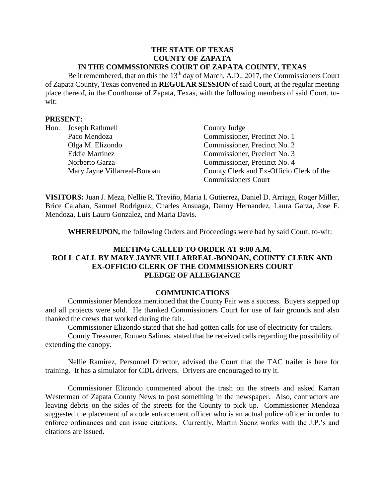#### **THE STATE OF TEXAS COUNTY OF ZAPATA IN THE COMMSSIONERS COURT OF ZAPATA COUNTY, TEXAS**

Be it remembered, that on this the  $13<sup>th</sup>$  day of March, A.D., 2017, the Commissioners Court of Zapata County, Texas convened in **REGULAR SESSION** of said Court, at the regular meeting place thereof, in the Courthouse of Zapata, Texas, with the following members of said Court, towit:

### **PRESENT:**

| Hon. | Joseph Rathmell              | County Judge                             |
|------|------------------------------|------------------------------------------|
|      | Paco Mendoza                 | Commissioner, Precinct No. 1             |
|      | Olga M. Elizondo             | Commissioner, Precinct No. 2             |
|      | <b>Eddie Martinez</b>        | Commissioner, Precinct No. 3             |
|      | Norberto Garza               | Commissioner, Precinct No. 4             |
|      | Mary Jayne Villarreal-Bonoan | County Clerk and Ex-Officio Clerk of the |
|      |                              | <b>Commissioners Court</b>               |

**VISITORS:** Juan J. Meza, Nellie R. Treviño, Maria I. Gutierrez, Daniel D. Arriaga, Roger Miller, Brice Calahan, Samuel Rodriguez, Charles Ansuaga, Danny Hernandez, Laura Garza, Jose F. Mendoza, Luis Lauro Gonzalez, and Maria Davis.

**WHEREUPON,** the following Orders and Proceedings were had by said Court, to-wit:

# **MEETING CALLED TO ORDER AT 9:00 A.M. ROLL CALL BY MARY JAYNE VILLARREAL-BONOAN, COUNTY CLERK AND EX-OFFICIO CLERK OF THE COMMISSIONERS COURT PLEDGE OF ALLEGIANCE**

#### **COMMUNICATIONS**

Commissioner Mendoza mentioned that the County Fair was a success. Buyers stepped up and all projects were sold. He thanked Commissioners Court for use of fair grounds and also thanked the crews that worked during the fair.

Commissioner Elizondo stated that she had gotten calls for use of electricity for trailers.

County Treasurer, Romeo Salinas, stated that he received calls regarding the possibility of extending the canopy.

Nellie Ramirez, Personnel Director, advised the Court that the TAC trailer is here for training. It has a simulator for CDL drivers. Drivers are encouraged to try it.

Commissioner Elizondo commented about the trash on the streets and asked Karran Westerman of Zapata County News to post something in the newspaper. Also, contractors are leaving debris on the sides of the streets for the County to pick up. Commissioner Mendoza suggested the placement of a code enforcement officer who is an actual police officer in order to enforce ordinances and can issue citations. Currently, Martin Saenz works with the J.P.'s and citations are issued.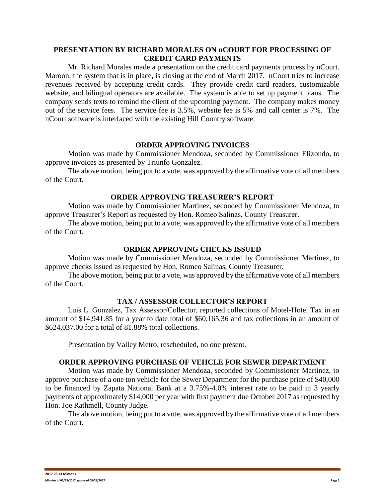# **PRESENTATION BY RICHARD MORALES ON nCOURT FOR PROCESSING OF CREDIT CARD PAYMENTS**

Mr. Richard Morales made a presentation on the credit card payments process by nCourt. Maroon, the system that is in place, is closing at the end of March 2017. nCourt tries to increase revenues received by accepting credit cards. They provide credit card readers, customizable website, and bilingual operators are available. The system is able to set up payment plans. The company sends texts to remind the client of the upcoming payment. The company makes money out of the service fees. The service fee is 3.5%, website fee is 5% and call center is 7%. The nCourt software is interfaced with the existing Hill Country software.

### **ORDER APPROVING INVOICES**

Motion was made by Commissioner Mendoza, seconded by Commissioner Elizondo, to approve invoices as presented by Triunfo Gonzalez.

The above motion, being put to a vote, was approved by the affirmative vote of all members of the Court.

# **ORDER APPROVING TREASURER'S REPORT**

Motion was made by Commissioner Martinez, seconded by Commissioner Mendoza, to approve Treasurer's Report as requested by Hon. Romeo Salinas, County Treasurer.

The above motion, being put to a vote, was approved by the affirmative vote of all members of the Court.

# **ORDER APPROVING CHECKS ISSUED**

Motion was made by Commissioner Mendoza, seconded by Commissioner Martinez, to approve checks issued as requested by Hon. Romeo Salinas, County Treasurer.

The above motion, being put to a vote, was approved by the affirmative vote of all members of the Court.

# **TAX / ASSESSOR COLLECTOR'S REPORT**

Luis L. Gonzalez, Tax Assessor/Collector, reported collections of Motel-Hotel Tax in an amount of \$14,941.85 for a year to date total of \$60,165.36 and tax collections in an amount of \$624,037.00 for a total of 81.88% total collections.

Presentation by Valley Metro, rescheduled, no one present.

# **ORDER APPROVING PURCHASE OF VEHCLE FOR SEWER DEPARTMENT**

Motion was made by Commissioner Mendoza, seconded by Commissioner Martinez, to approve purchase of a one ton vehicle for the Sewer Department for the purchase price of \$40,000 to be financed by Zapata National Bank at a 3.75%-4.0% interest rate to be paid in 3 yearly payments of approximately \$14,000 per year with first payment due October 2017 as requested by Hon. Joe Rathmell, County Judge.

The above motion, being put to a vote, was approved by the affirmative vote of all members of the Court.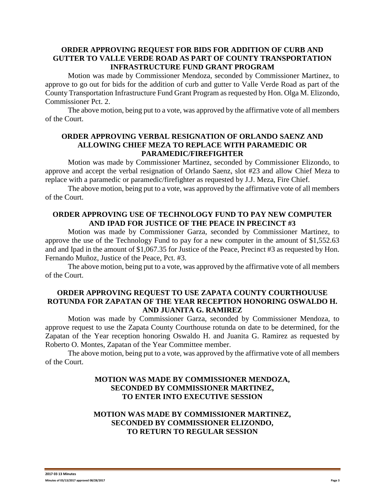# **ORDER APPROVING REQUEST FOR BIDS FOR ADDITION OF CURB AND GUTTER TO VALLE VERDE ROAD AS PART OF COUNTY TRANSPORTATION INFRASTRUCTURE FUND GRANT PROGRAM**

Motion was made by Commissioner Mendoza, seconded by Commissioner Martinez, to approve to go out for bids for the addition of curb and gutter to Valle Verde Road as part of the County Transportation Infrastructure Fund Grant Program as requested by Hon. Olga M. Elizondo, Commissioner Pct. 2.

The above motion, being put to a vote, was approved by the affirmative vote of all members of the Court.

### **ORDER APPROVING VERBAL RESIGNATION OF ORLANDO SAENZ AND ALLOWING CHIEF MEZA TO REPLACE WITH PARAMEDIC OR PARAMEDIC/FIREFIGHTER**

Motion was made by Commissioner Martinez, seconded by Commissioner Elizondo, to approve and accept the verbal resignation of Orlando Saenz, slot #23 and allow Chief Meza to replace with a paramedic or paramedic/firefighter as requested by J.J. Meza, Fire Chief.

The above motion, being put to a vote, was approved by the affirmative vote of all members of the Court.

# **ORDER APPROVING USE OF TECHNOLOGY FUND TO PAY NEW COMPUTER AND IPAD FOR JUSTICE OF THE PEACE IN PRECINCT #3**

Motion was made by Commissioner Garza, seconded by Commissioner Martinez, to approve the use of the Technology Fund to pay for a new computer in the amount of \$1,552.63 and and Ipad in the amount of \$1,067.35 for Justice of the Peace, Precinct #3 as requested by Hon. Fernando Muñoz, Justice of the Peace, Pct. #3.

The above motion, being put to a vote, was approved by the affirmative vote of all members of the Court.

### **ORDER APPROVING REQUEST TO USE ZAPATA COUNTY COURTHOUUSE ROTUNDA FOR ZAPATAN OF THE YEAR RECEPTION HONORING OSWALDO H. AND JUANITA G. RAMIREZ**

Motion was made by Commissioner Garza, seconded by Commissioner Mendoza, to approve request to use the Zapata County Courthouse rotunda on date to be determined, for the Zapatan of the Year reception honoring Oswaldo H. and Juanita G. Ramirez as requested by Roberto O. Montes, Zapatan of the Year Committee member.

The above motion, being put to a vote, was approved by the affirmative vote of all members of the Court.

# **MOTION WAS MADE BY COMMISSIONER MENDOZA, SECONDED BY COMMISSIONER MARTINEZ, TO ENTER INTO EXECUTIVE SESSION**

# **MOTION WAS MADE BY COMMISSIONER MARTINEZ, SECONDED BY COMMISSIONER ELIZONDO, TO RETURN TO REGULAR SESSION**